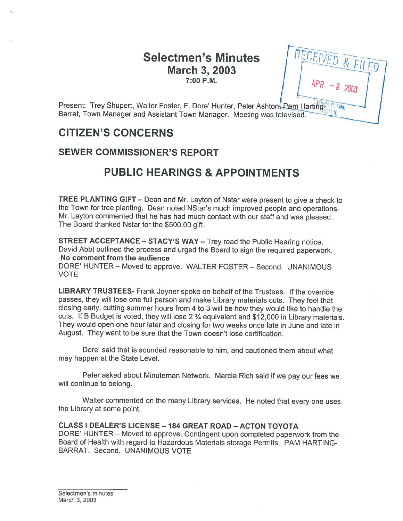# Selectmen's Minutes March 3, 2003 7:00 P.M.

Present: Trey Shupert, Walter Foster, F. Dore' Hunter, Peter Ashton, Pam Harting-Barrat, Town Manager and Assistant Town Manager. Meeting was televi

# CITIZEN'S CONCERNS

## SEWER COMMISSIONER'S REPORT

# PUBLIC HEARINGS & APPOINTMENTS

TREE PLANTING GIFT — Dean and Mr. Layton of Nstar were presen<sup>t</sup> to <sup>g</sup>ive <sup>a</sup> check to the Town for tree <sup>p</sup>lanting. Dean noted NStar's much improved people and operations. Mr. Layton commented that he has had much contact with our staff and was <sup>p</sup>leased. The Board thanked Nstar for the \$500.00 <sup>g</sup>ift.

STREET ACCEPTANCE — STACY'S WAY — Trey read the Public Hearing notice. David Abbt outlined the process and urge<sup>d</sup> the Board to sign the required paperwork. No comment from the audience

DORE' HUNTER — Moved to approve. WALTER FOSTER — Second. UNANIMOUS VOTE

LIBRARY TRUSTEES- Frank Joyner spoke on behalf of the Trustees. If the override passes, they will lose one full person and make Library materials cuts. They feel that closing early, cutting summer hours from <sup>4</sup> to <sup>3</sup> will be how they would like to handle the cuts. If <sup>B</sup> Budget is voted, they will lose <sup>2</sup> % equivalent and \$12,000 in Library materials. They would open one hour later and closing for two weeks once late in June and late in August. They want to be sure that the Town doesn't lose certification.

Dore' said that is sounded reasonable to him, and cautioned them about what may happen at the State Level.

Peter asked about Minuteman Network. Marcia Rich said if we pay our fees we will continue to belong.

Walter commented on the many Library services. He noted that every one uses the Library at some point.

#### CLASS I DEALER'S LICENSE -184 GREAT ROAD — ACTON TOYOTA DORE' HUNTER — Moved to approve. Contingent upon completed paperwor<sup>k</sup> from the Board of Health with regar<sup>d</sup> to Hazardous Materials storage Permits. PAM HARTING BARRAT. Second. UNANIMOUS VOTE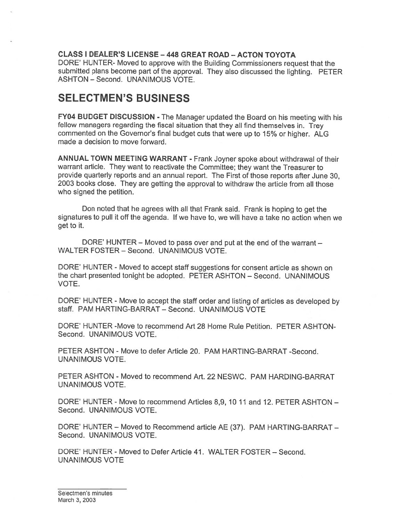### CLASS I DEALER'S LICENSE - 448 GREAT ROAD - ACTON TOYOTA

DORE' HUNTER- Moved to approve with the Building Commissioners reques<sup>t</sup> that the submitted <sup>p</sup>lans become par<sup>t</sup> of the approval. They also discussed the lighting. PETER ASHTON — Second. UNANIMOUS VOTE.

# SELECTMEN'S BUSINESS

FY04 BUDGET DISCUSSION - The Manager updated the Board on his meeting with his fellow managers regarding the fiscal situation that they all find themselves in. Trey commented on the Governor's final budget cuts that were up to 15% or higher. ALG made <sup>a</sup> decision to move forward.

ANNUAL TOWN MEETING WARRANT - Frank Joyner spoke about withdrawal of their warrant article. They want to reactivate the Committee; they want the Treasurer to provide quarterly reports and an annual report. The First of those reports after June 30, 2003 books close. They are getting the approval to withdraw the article from all those who signed the petition.

Don noted that he agrees with all that Frank said. Frank is hoping to ge<sup>t</sup> the signatures to pull it off the agenda. If we have to, we will have <sup>a</sup> take no action when we ge<sup>t</sup> to it.

DORE' HUNTER — Moved to pass over and pu<sup>t</sup> at the end of the warrant — WALTER FOSTER — Second. UNANIMOUS VOTE.

DORE' HUNTER - Moved to accep<sup>t</sup> staff suggestions for consent article as shown on the chart presented tonight be adopted. PETER ASHTON — Second. UNANIMOUS VOTE.

DORE' HUNTER - Move to accep<sup>t</sup> the staff order and listing of articles as developed by staff. PAM HARTING-BARRAT — Second. UNANIMOUS VOTE

DORE' HUNTER -Move to recommend Art 28 Home Rule Petition. PETER ASHTON Second. UNANIMOUS VOTE.

PETER ASHTON - Move to defer Article 20. PAM HARTING-BARRAT -Second. UNANIMOUS VOTE.

PETER ASHTON - Moved to recommend Art. 22 NESWC. PAM HARDING-BARRAT UNANIMOUS VOTE.

DORE' HUNTER - Move to recommend Articles 8,9, 10 11 and 12. PETER ASHTON -Second. UNANIMOUS VOTE.

DORE' HUNTER — Moved to Recommend article AE (37). PAM HARTING-BARRAT — Second. UNANIMOUS VOTE.

DORE' HUNTER - Moved to Defer Article 41. WALTER FOSTER — Second. UNANIMOUS VOTE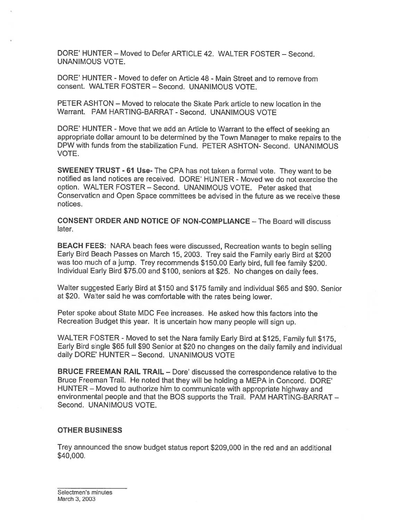DORE' HUNTER — Moved to Defer ARTICLE 42. WALTER FOSTER — Second. UNANIMOUS VOTE.

DORE' HUNTER - Moved to defer on Article 48 - Main Street and to remove from consent. WALTER FOSTER — Second. UNANIMOUS VOTE.

PETER ASHTON — Moved to relocate the Skate Park article to new location in the Warrant. PAM HARTING-BARRAT -Second. UNANIMOUS VOTE

DORE' HUNTER - Move that we add an Article to Warrant to the effect of seeking an appropriate dollar amount to be determined by the Town Manager to make repairs to the DPW with funds from the stabilization Fund. PETER ASHTON- Second. UNANIMOUS VOTE.

SWEENEY TRUST - <sup>61</sup> Use- The CPA has not taken <sup>a</sup> formal vote. They want to be notified as land notices are received. DORE' HUNTER - Moved we do not exercise the option. WALTER FOSTER — Second. UNANIMOUS VOTE. Peter asked that Conservation and Open Space committees be advised in the future as we receive these notices.

CONSENT ORDER AND NOTICE OF NON-COMPLIANCE — The Board will discuss later.

BEACH FEES: NARA beach fees were discussed, Recreation wants to begin selling Early Bird Beach Passes on March 15, 2003. Trey said the Family early Bird at \$200 was too much of <sup>a</sup> jump. Trey recommends \$150.00 Early bird, full fee family \$200. Individual Early Bird \$75.00 and \$100, seniors at \$25. No changes on daily fees.

Walter suggested Early Bird at \$150 and \$175 family and individual \$65 and \$90. Senior at \$20. Walter said he was comfortable with the rates being lower.

Peter spoke about State MDC Fee increases. He asked how this factors into the Recreation Budget this year. It is uncertain how many people will sign up.

WALTER FOSTER - Moved to set the Nara family Early Bird at \$125, Family full \$175, Early Bird single \$65 full \$90 Senior at \$20 no changes on the daily family and individual daily DORE' HUNTER — Second. UNANIMOUS VOTE

BRUCE FREEMAN RAIL TRAIL — Dore' discussed the correspondence relative to the Bruce Freeman Trail. He noted that they will be holding <sup>a</sup> MEPA in Concord. DORE' HUNTER — Moved to authorize him to communicate with appropriate highway and environmental people and that the BOS supports the Trail. PAM HARTING-BARRAT — Second. UNANIMOUS VOTE.

#### OTHER BUSINESS

Trey announced the snow budget status repor<sup>t</sup> \$209,000 in the red and an additional \$40,000.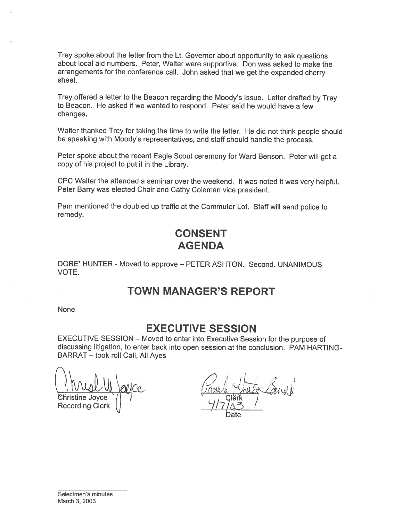Trey spoke about the letter from the Lt. Governor about opportunity to ask questions about local aid numbers. Peter, Walter were supportive. Don was asked to make the arrangements for the conference call. John asked that we ge<sup>t</sup> the expanded cherry sheet.

Trey offered <sup>a</sup> letter to the Beacon regarding the Moody's Issue. Letter drafted by Trey to Beacon. He asked if we wanted to respond. Peter said he would have <sup>a</sup> few changes.

Walter thanked Trey for taking the time to write the letter. He did not think people should be speaking with Moody's representatives, and staff should handle the process.

Peter spoke about the recent Eagle Scout ceremony for Ward Benson. Peter will ge<sup>t</sup> <sup>a</sup> copy of his project to pu<sup>t</sup> it in the Library.

CPC Walter the attended <sup>a</sup> seminar over the weekend. It was noted it was very helpful. Peter Barry was elected Chair and Cathy Coleman vice president.

Pam mentioned the doubled up traffic at the Commuter Lot. Staff will send police to remedy.

# CONSENT AGENDA

DORE' HUNTER - Moved to approve - PETER ASHTON. Second. UNANIMOUS VOTE.

## TOWN MANAGER'S REPORT

None

## EXECUTIVE SESSION

EXECUTIVE SESSION — Moved to enter into Executive Session for the purpose of discussing litigation, to enter back into open session at the conclusion. PAM HARTING BARRAT — took roll Call, All Ayes

Christine Joyce 7 | determine the second state of the Clerk Christine Joyce  $\sqrt{ }$ <br>Recording Clerk  $\sqrt{ }$  Clerk  $\sqrt{ }$ 

 $\Box$ 1  $\Box$ 1 I Date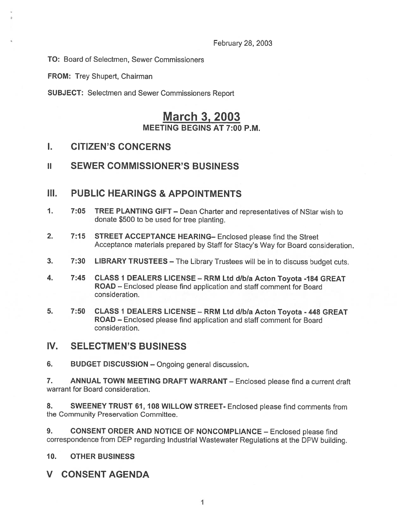February 28, 2003

To: Board of Selectmen, Sewer Commissioners

FROM: Trey Shupert, Chairman

SUBJECT: Selectmen and Sewer Commissioners Report

# March 3, 2003 MEETING BEGINS AT 7:00 P.M.

### I. CITIZEN'S CONCERNS

### ii SEWER COMMISSIONER'S BUSINESS

### III. PUBLIC HEARINGS & APPOINTMENTS

- 1. 7:05 TREE PLANTING GIFT Dean Charter and representatives of NStar wish to donate \$500 to be used for tree planting.
- 2. 7:15 STREET ACCEPTANCE HEARING- Enclosed please find the Street Acceptance materials prepared by Staff for Stacy's Way for Board consideration.
- 3. 7:30 LIBRARY TRUSTEES The Library Trustees will be in to discuss budget cuts.
- 4. 7:45 CLASS <sup>I</sup> DEALERS LICENSE RRM Ltd dibla Acton Toyota -184 GREAT ROAD — Enclosed please find application and staff comment for Board consideration.
- 5. 7:50 CLASS <sup>I</sup> DEALERS LICENSE RRM Ltd dibla Acton Toyota <sup>448</sup> GREAT ROAD — Enclosed please find application and staff comment for Board consideration.

### IV. SELECTMEN'S BUSINESS

6. BUDGET DISCUSSION — Ongoing general discussion.

7. ANNUAL TOWN MEETING DRAFT WARRANT - Enclosed please find a current draft warrant for Board consideration.

8. SWEENEY TRUST 61, 108 WILLOW STREET- Enclosed please find comments from the Community Preservation Committee.

9. CONSENT ORDER AND NOTICE OF NONCOMPLIANCE - Enclosed please find correspondence from DEP regarding Industrial Wastewater Regulations at the DPW building.

### 10. OTHER BUSINESS

### **CONSENT AGENDA**